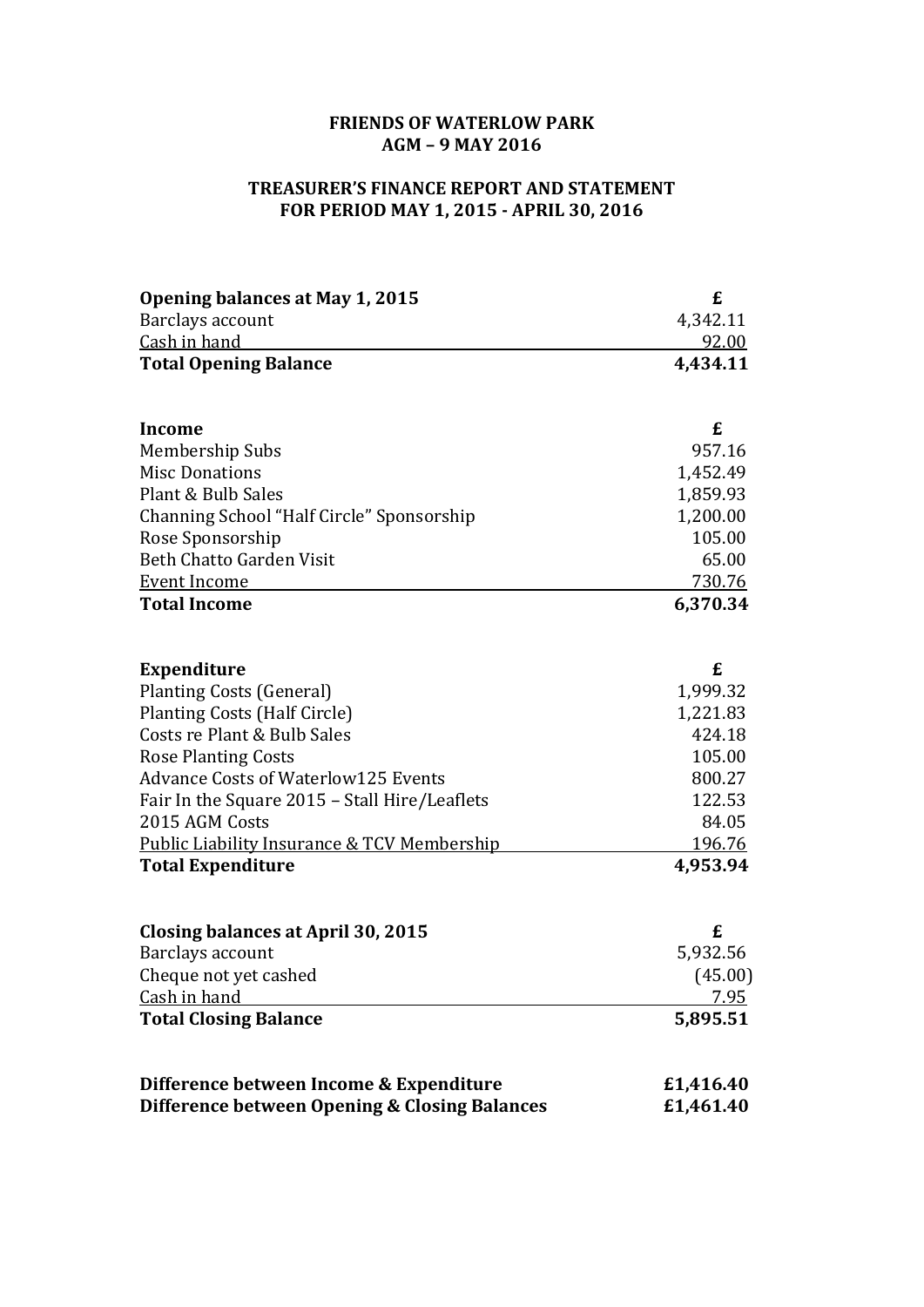## **FRIENDS OF WATERLOW PARK AGM – 9 MAY 2016**

## **TREASURER'S FINANCE REPORT AND STATEMENT FOR PERIOD MAY 1, 2015 - APRIL 30, 2016**

| <b>Opening balances at May 1, 2015</b>                 | £             |
|--------------------------------------------------------|---------------|
| Barclays account                                       | 4,342.11      |
| Cash in hand                                           | 92.00         |
| <b>Total Opening Balance</b>                           | 4,434.11      |
| <b>Income</b>                                          | £             |
| Membership Subs                                        | 957.16        |
| <b>Misc Donations</b>                                  | 1,452.49      |
| Plant & Bulb Sales                                     | 1,859.93      |
| Channing School "Half Circle" Sponsorship              | 1,200.00      |
| Rose Sponsorship                                       | 105.00        |
| <b>Beth Chatto Garden Visit</b>                        | 65.00         |
| <b>Event Income</b>                                    | 730.76        |
| <b>Total Income</b>                                    | 6,370.34      |
|                                                        |               |
| <b>Expenditure</b>                                     | £             |
| <b>Planting Costs (General)</b>                        | 1,999.32      |
| <b>Planting Costs (Half Circle)</b>                    | 1,221.83      |
| Costs re Plant & Bulb Sales                            | 424.18        |
| <b>Rose Planting Costs</b>                             | 105.00        |
| <b>Advance Costs of Waterlow125 Events</b>             | 800.27        |
| Fair In the Square 2015 - Stall Hire/Leaflets          | 122.53        |
| 2015 AGM Costs                                         | 84.05         |
| <b>Public Liability Insurance &amp; TCV Membership</b> | <u>196.76</u> |
| <b>Total Expenditure</b>                               | 4,953.94      |
| <b>Closing balances at April 30, 2015</b>              | £             |
| Barclays account                                       | 5,932.56      |
| Cheque not yet cashed                                  | (45.00)       |
| Cash in hand                                           | <u>7.95</u>   |
| <b>Total Closing Balance</b>                           | 5,895.51      |
| Difference between Income & Expenditure                | £1,416.40     |
| Difference between Opening & Closing Balances          | £1,461.40     |
|                                                        |               |